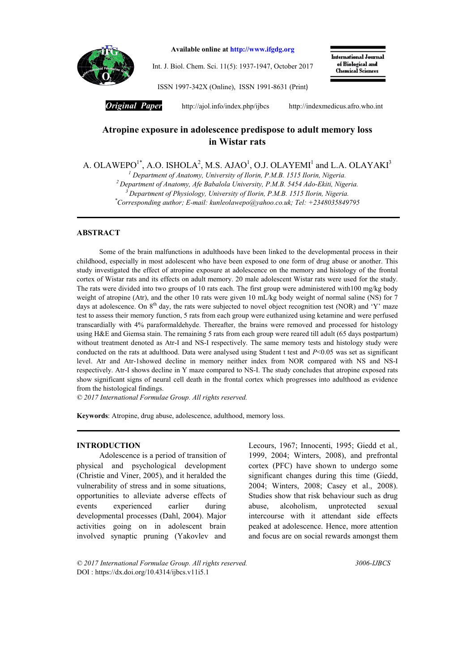

Available online at http://www.ifgdg.org

Int. J. Biol. Chem. Sci. 11(5): 1937-1947, October 2017

International Journal of Biological and<br>Chemical Sciences

ISSN 1997-342X (Online), ISSN 1991-8631 (Print)

*Original Paper* http://ajol.info/index.php/ijbcshttp://indexmedicus.afro.who.int

# Atropine exposure in adolescence predispose to adult memory loss in Wistar rats

A. OLAWEPO $^{1*}$ , A.O. ISHOLA $^{2}$ , M.S. AJAO $^{1}$ , O.J. OLAYEMI $^{1}$  and L.A. OLAYAKI $^{3}$ 

*<sup>1</sup> Department of Anatomy, University of Ilorin, P.M.B. 1515 Ilorin, Nigeria.*

*<sup>2</sup> Department of Anatomy, Afe Babalola University, P.M.B. 5454 Ado-Ekiti, Nigeria.*

*<sup>3</sup> Department of Physiology, University of Ilorin, P.M.B. 1515 Ilorin, Nigeria.*

*\* Corresponding author; E-mail: kunleolawepo@yahoo.co.uk; Tel: +2348035849795*

# ABSTRACT

Some of the brain malfunctions in adulthoods have been linked to the developmental process in their childhood, especially in most adolescent who have been exposed to one form of drug abuse or another. This study investigated the effect of atropine exposure at adolescence on the memory and histology of the frontal cortex of Wistar rats and its effects on adult memory. 20 male adolescent Wistar rats were used for the study. The rats were divided into two groups of 10 rats each. The first group were administered with100 mg/kg body weight of atropine (Atr), and the other 10 rats were given 10 mL/kg body weight of normal saline (NS) for 7 days at adolescence. On  $8<sup>th</sup>$  day, the rats were subjected to novel object recognition test (NOR) and 'Y' maze test to assess their memory function, 5 rats from each group were euthanized using ketamine and were perfused transcardially with 4% paraformaldehyde. Thereafter, the brains were removed and processed for histology using H&E and Giemsa stain. The remaining 5 rats from each group were reared till adult (65 days postpartum) without treatment denoted as Atr-I and NS-I respectively. The same memory tests and histology study were conducted on the rats at adulthood. Data were analysed using Student t test and *P*<0.05 was set as significant level. Atr and Atr-1showed decline in memory neither index from NOR compared with NS and NS-I respectively. Atr-I shows decline in Y maze compared to NS-I. The study concludes that atropine exposed rats show significant signs of neural cell death in the frontal cortex which progresses into adulthood as evidence from the histological findings.

*© 2017 International Formulae Group. All rights reserved.*

Keywords: Atropine, drug abuse, adolescence, adulthood, memory loss.

# INTRODUCTION

Adolescence is a period of transition of physical and psychological development (Christie and Viner, 2005), and it heralded the vulnerability of stress and in some situations, opportunities to alleviate adverse effects of events experienced earlier during developmental processes (Dahl, 2004). Major activities going on in adolescent brain involved synaptic pruning (Yakovlev and Lecours, 1967; Innocenti, 1995; Giedd et al*.,* 1999, 2004; Winters, 2008), and prefrontal cortex (PFC) have shown to undergo some significant changes during this time (Giedd, 2004; Winters, 2008; Casey et al., 2008). Studies show that risk behaviour such as drug abuse, alcoholism, unprotected sexual intercourse with it attendant side effects peaked at adolescence. Hence, more attention and focus are on social rewards amongst them

*© 2017 International Formulae Group. All rights reserved. 3006-IJBCS* DOI : https://dx.doi.org/10.4314/ijbcs.v11i5.1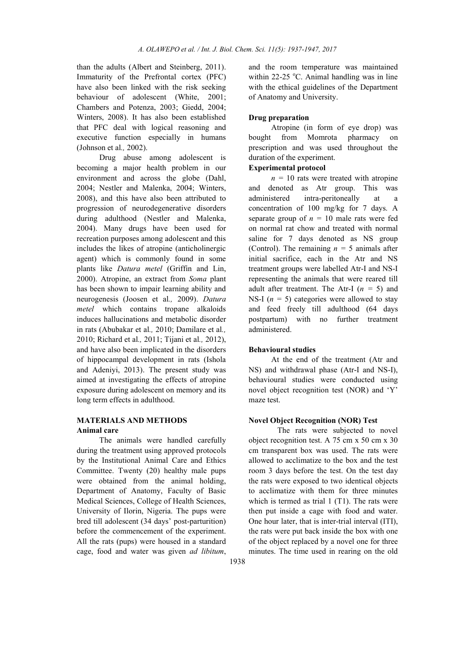than the adults (Albert and Steinberg, 2011). Immaturity of the Prefrontal cortex (PFC) have also been linked with the risk seeking behaviour of adolescent (White, 2001; Chambers and Potenza, 2003; Giedd, 2004; Winters, 2008). It has also been established that PFC deal with logical reasoning and executive function especially in humans (Johnson et al*.,* 2002).

Drug abuse among adolescent is becoming a major health problem in our environment and across the globe (Dahl, 2004; Nestler and Malenka, 2004; Winters, 2008), and this have also been attributed to progression of neurodegenerative disorders during adulthood (Nestler and Malenka, 2004). Many drugs have been used for recreation purposes among adolescent and this includes the likes of atropine (anticholinergic agent) which is commonly found in some plants like *Datura metel* (Griffin and Lin, 2000). Atropine, an extract from *Soma* plant has been shown to impair learning ability and neurogenesis (Joosen et al*.,* 2009). *Datura metel* which contains tropane alkaloids induces hallucinations and metabolic disorder in rats (Abubakar et al*.,* 2010; Damilare et al*.,*  2010; Richard et al*.,* 2011; Tijani et al*.,* 2012), and have also been implicated in the disorders of hippocampal development in rats (Ishola and Adeniyi, 2013). The present study was aimed at investigating the effects of atropine exposure during adolescent on memory and its long term effects in adulthood.

# MATERIALS AND METHODS Animal care

The animals were handled carefully during the treatment using approved protocols by the Institutional Animal Care and Ethics Committee. Twenty (20) healthy male pups were obtained from the animal holding, Department of Anatomy, Faculty of Basic Medical Sciences, College of Health Sciences, University of Ilorin, Nigeria. The pups were bred till adolescent (34 days' post-parturition) before the commencement of the experiment. All the rats (pups) were housed in a standard cage, food and water was given *ad libitum*,

and the room temperature was maintained within 22-25 °C. Animal handling was in line with the ethical guidelines of the Department of Anatomy and University.

### Drug preparation

Atropine (in form of eye drop) was bought from Momrota pharmacy on prescription and was used throughout the duration of the experiment.

### Experimental protocol

 $n = 10$  rats were treated with atropine and denoted as Atr group. This was administered intra-peritoneally at a concentration of 100 mg/kg for 7 days. A separate group of  $n = 10$  male rats were fed on normal rat chow and treated with normal saline for 7 days denoted as NS group (Control). The remaining  $n = 5$  animals after initial sacrifice, each in the Atr and NS treatment groups were labelled Atr-I and NS-I representing the animals that were reared till adult after treatment. The Atr-I (*n =* 5) and NS-I  $(n = 5)$  categories were allowed to stay and feed freely till adulthood (64 days postpartum) with no further treatment administered.

#### Behavioural studies

At the end of the treatment (Atr and NS) and withdrawal phase (Atr-I and NS-I), behavioural studies were conducted using novel object recognition test (NOR) and 'Y' maze test.

#### Novel Object Recognition (NOR) Test

The rats were subjected to novel object recognition test. A 75 cm x 50 cm x 30 cm transparent box was used. The rats were allowed to acclimatize to the box and the test room 3 days before the test. On the test day the rats were exposed to two identical objects to acclimatize with them for three minutes which is termed as trial  $1$  (T1). The rats were then put inside a cage with food and water. One hour later, that is inter-trial interval (ITI), the rats were put back inside the box with one of the object replaced by a novel one for three minutes. The time used in rearing on the old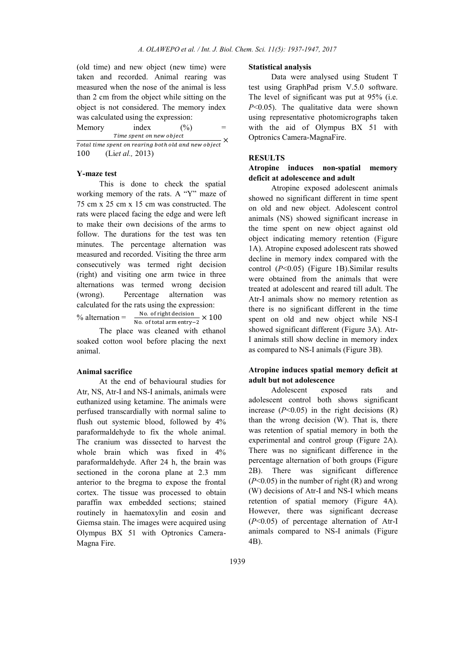(old time) and new object (new time) were taken and recorded. Animal rearing was measured when the nose of the animal is less than 2 cm from the object while sitting on the object is not considered. The memory index was calculated using the expression:

Memory index  $(\%)$  = Time spent on new object  $\frac{1}{100}$  inte spent on hew object<br>Total time spent on rearing both old and new object 100 (Li*et al.,* 2013)

# Y-maze test

This is done to check the spatial working memory of the rats. A "Y" maze of 75 cm x 25 cm x 15 cm was constructed. The rats were placed facing the edge and were left to make their own decisions of the arms to follow. The durations for the test was ten minutes. The percentage alternation was measured and recorded. Visiting the three arm consecutively was termed right decision (right) and visiting one arm twice in three alternations was termed wrong decision (wrong). Percentage alternation was calculated for the rats using the expression: % alternation =  $\frac{N_{\text{O}}}{N_{\text{O}}}$  of total arm entry-2  $\times$  100

The place was cleaned with ethanol soaked cotton wool before placing the next animal.

### Animal sacrifice

At the end of behavioural studies for Atr, NS, Atr-I and NS-I animals, animals were euthanized using ketamine. The animals were perfused transcardially with normal saline to flush out systemic blood, followed by 4% paraformaldehyde to fix the whole animal. The cranium was dissected to harvest the whole brain which was fixed in  $4\%$ paraformaldehyde. After 24 h, the brain was sectioned in the corona plane at 2.3 mm anterior to the bregma to expose the frontal cortex. The tissue was processed to obtain paraffin wax embedded sections; stained routinely in haematoxylin and eosin and Giemsa stain. The images were acquired using Olympus BX 51 with Optronics Camera-Magna Fire.

#### Statistical analysis

Data were analysed using Student T test using GraphPad prism V.5.0 software. The level of significant was put at 95% (i.e. *P*<0.05). The qualitative data were shown using representative photomicrographs taken with the aid of Olympus BX 51 with Optronics Camera-MagnaFire.

# **RESULTS**

# Atropine induces non-spatial memory deficit at adolescence and adult

Atropine exposed adolescent animals showed no significant different in time spent on old and new object. Adolescent control animals (NS) showed significant increase in the time spent on new object against old object indicating memory retention (Figure 1A). Atropine exposed adolescent rats showed decline in memory index compared with the control (*P*<0.05) (Figure 1B).Similar results were obtained from the animals that were treated at adolescent and reared till adult. The Atr-I animals show no memory retention as there is no significant different in the time spent on old and new object while NS-I showed significant different (Figure 3A). Atr-I animals still show decline in memory index as compared to NS-I animals (Figure 3B).

# Atropine induces spatial memory deficit at adult but not adolescence

Adolescent exposed rats and adolescent control both shows significant increase  $(P<0.05)$  in the right decisions  $(R)$ than the wrong decision (W). That is, there was retention of spatial memory in both the experimental and control group (Figure 2A). There was no significant difference in the percentage alternation of both groups (Figure 2B). There was significant difference  $(P<0.05)$  in the number of right  $(R)$  and wrong (W) decisions of Atr-I and NS-I which means retention of spatial memory (Figure 4A). However, there was significant decrease (*P*<0.05) of percentage alternation of Atr-I animals compared to NS-I animals (Figure 4B).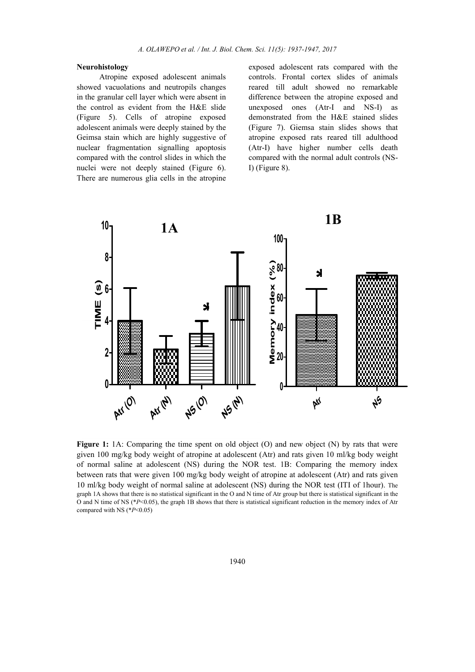#### Neurohistology

Atropine exposed adolescent animals showed vacuolations and neutropils changes in the granular cell layer which were absent in the control as evident from the H&E slide (Figure 5). Cells of atropine exposed adolescent animals were deeply stained by the Geimsa stain which are highly suggestive of nuclear fragmentation signalling apoptosis compared with the control slides in which the nuclei were not deeply stained (Figure 6). There are numerous glia cells in the atropine

exposed adolescent rats compared with the controls. Frontal cortex slides of animals reared till adult showed no remarkable difference between the atropine exposed and unexposed ones (Atr-I and NS-I) as demonstrated from the H&E stained slides (Figure 7). Giemsa stain slides shows that atropine exposed rats reared till adulthood (Atr-I) have higher number cells death compared with the normal adult controls (NS-I) (Figure 8).



Figure 1: 1A: Comparing the time spent on old object  $(O)$  and new object  $(N)$  by rats that were given 100 mg/kg body weight of atropine at adolescent (Atr) and rats given 10 ml/kg body weight of normal saline at adolescent (NS) during the NOR test. 1B: Comparing the memory index between rats that were given 100 mg/kg body weight of atropine at adolescent (Atr) and rats given 10 ml/kg body weight of normal saline at adolescent (NS) during the NOR test (ITI of 1hour). The graph 1A shows that there is no statistical significant in the O and N time of Atr group but there is statistical significant in the O and N time of NS (\**P*<0.05), the graph 1B shows that there is statistical significant reduction in the memory index of Atr compared with NS (\**P*<0.05)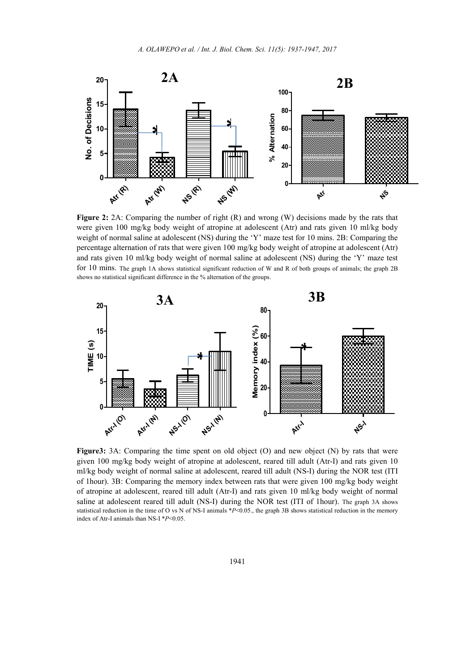

Figure 2: 2A: Comparing the number of right (R) and wrong (W) decisions made by the rats that were given 100 mg/kg body weight of atropine at adolescent (Atr) and rats given 10 ml/kg body weight of normal saline at adolescent (NS) during the 'Y' maze test for 10 mins. 2B: Comparing the percentage alternation of rats that were given 100 mg/kg body weight of atropine at adolescent (Atr) and rats given 10 ml/kg body weight of normal saline at adolescent (NS) during the 'Y' maze test for 10 mins. The graph 1A shows statistical significant reduction of W and R of both groups of animals; the graph 2B shows no statistical significant difference in the % alternation of the groups.



Figure 3: 3A: Comparing the time spent on old object (O) and new object (N) by rats that were given 100 mg/kg body weight of atropine at adolescent, reared till adult (Atr-I) and rats given 10 ml/kg body weight of normal saline at adolescent, reared till adult (NS-I) during the NOR test (ITI of 1hour). 3B: Comparing the memory index between rats that were given 100 mg/kg body weight of atropine at adolescent, reared till adult (Atr-I) and rats given 10 ml/kg body weight of normal saline at adolescent reared till adult (NS-I) during the NOR test (ITI of 1hour). The graph 3A shows statistical reduction in the time of O vs N of NS-I animals \**P*<0.05., the graph 3B shows statistical reduction in the memory index of Atr-I animals than NS-I \**P*<0.05.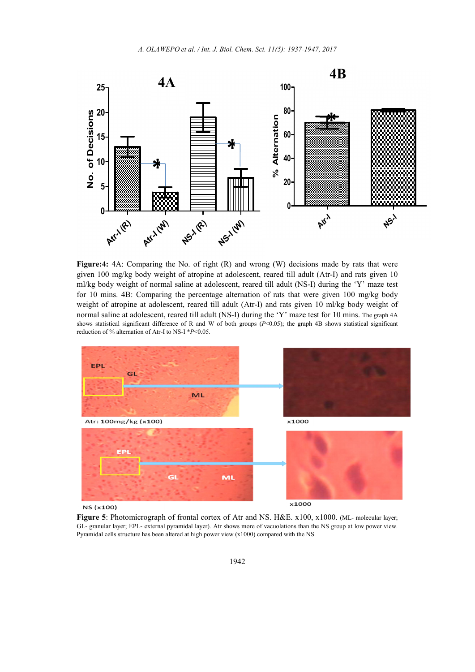

Figure:4: 4A: Comparing the No. of right (R) and wrong (W) decisions made by rats that were given 100 mg/kg body weight of atropine at adolescent, reared till adult (Atr-I) and rats given 10 ml/kg body weight of normal saline at adolescent, reared till adult (NS-I) during the 'Y' maze test for 10 mins. 4B: Comparing the percentage alternation of rats that were given 100 mg/kg body weight of atropine at adolescent, reared till adult (Atr-I) and rats given 10 ml/kg body weight of normal saline at adolescent, reared till adult (NS-I) during the 'Y' maze test for 10 mins. The graph 4A shows statistical significant difference of R and W of both groups (*P*<0.05); the graph 4B shows statistical significant reduction of % alternation of Atr-I to NS-I \**P*<0.05.



NS (x100)

Figure 5: Photomicrograph of frontal cortex of Atr and NS. H&E. x100, x1000. (ML- molecular layer; GL- granular layer; EPL- external pyramidal layer). Atr shows more of vacuolations than the NS group at low power view. Pyramidal cells structure has been altered at high power view (x1000) compared with the NS.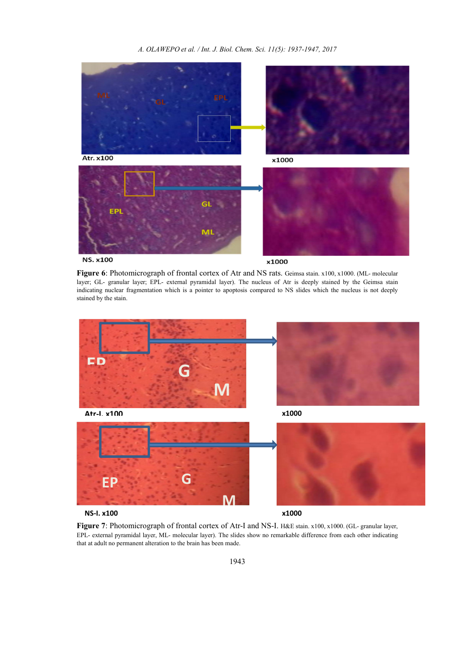*A. OLAWEPO et al. / Int. J. Biol. Chem. Sci. 11(5): 1937-1947, 2017*



Figure 6: Photomicrograph of frontal cortex of Atr and NS rats. Geimsa stain. x100, x1000. (ML- molecular layer; GL- granular layer; EPL- external pyramidal layer). The nucleus of Atr is deeply stained by the Geimsa stain indicating nuclear fragmentation which is a pointer to apoptosis compared to NS slides which the nucleus is not deeply stained by the stain.



EPL- external pyramidal layer, ML- molecular layer). The slides show no remarkable difference from each other indicating that at adult no permanent alteration to the brain has been made.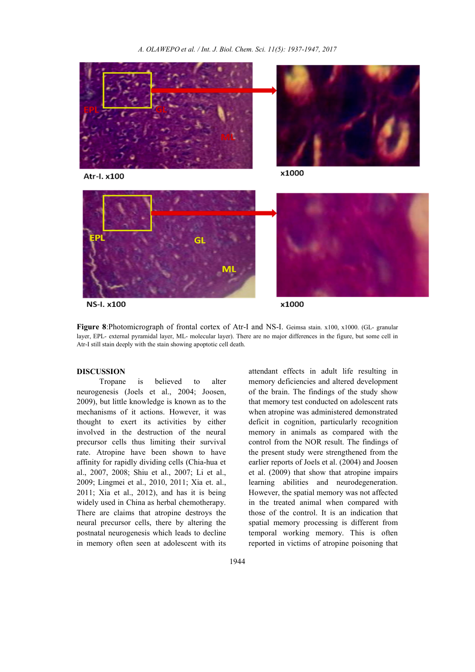

Atr-I. x100



**NS-I. x100** 

x1000

Figure 8:Photomicrograph of frontal cortex of Atr-I and NS-I. Geimsa stain. x100, x1000. (GL- granular layer, EPL- external pyramidal layer, ML- molecular layer). There are no major differences in the figure, but some cell in Atr-I still stain deeply with the stain showing apoptotic cell death.

### DISCUSSION

Tropane is believed to alter neurogenesis (Joels et al., 2004; Joosen, 2009), but little knowledge is known as to the mechanisms of it actions. However, it was thought to exert its activities by either involved in the destruction of the neural precursor cells thus limiting their survival rate. Atropine have been shown to have affinity for rapidly dividing cells (Chia-hua et al., 2007, 2008; Shiu et al., 2007; Li et al., 2009; Lingmei et al., 2010, 2011; Xia et. al., 2011; Xia et al., 2012), and has it is being widely used in China as herbal chemotherapy. There are claims that atropine destroys the neural precursor cells, there by altering the postnatal neurogenesis which leads to decline in memory often seen at adolescent with its

attendant effects in adult life resulting in memory deficiencies and altered development of the brain. The findings of the study show that memory test conducted on adolescent rats when atropine was administered demonstrated deficit in cognition, particularly recognition memory in animals as compared with the control from the NOR result. The findings of the present study were strengthened from the earlier reports of Joels et al. (2004) and Joosen et al. (2009) that show that atropine impairs learning abilities and neurodegeneration. However, the spatial memory was not affected in the treated animal when compared with those of the control. It is an indication that spatial memory processing is different from temporal working memory. This is often reported in victims of atropine poisoning that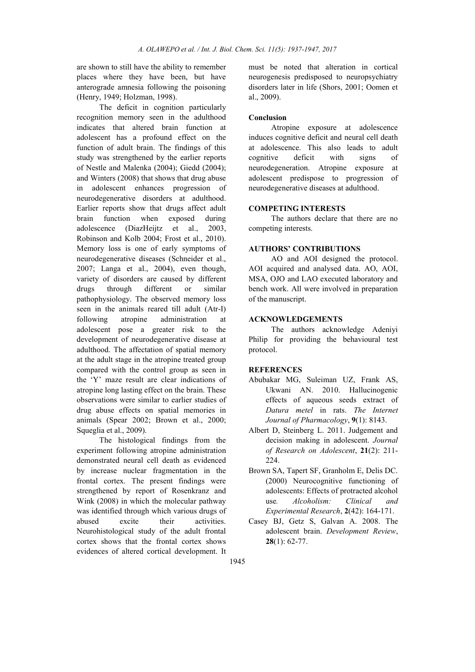are shown to still have the ability to remember places where they have been, but have anterograde amnesia following the poisoning (Henry, 1949; Holzman, 1998).

The deficit in cognition particularly recognition memory seen in the adulthood indicates that altered brain function at adolescent has a profound effect on the function of adult brain. The findings of this study was strengthened by the earlier reports of Nestle and Malenka (2004); Giedd (2004); and Winters (2008) that shows that drug abuse in adolescent enhances progression of neurodegenerative disorders at adulthood. Earlier reports show that drugs affect adult brain function when exposed during adolescence (DiazHeijtz et al., 2003, Robinson and Kolb 2004; Frost et al., 2010). Memory loss is one of early symptoms of neurodegenerative diseases (Schneider et al., 2007; Langa et al., 2004), even though, variety of disorders are caused by different drugs through different or similar pathophysiology. The observed memory loss seen in the animals reared till adult (Atr-I) following atropine administration at adolescent pose a greater risk to the development of neurodegenerative disease at adulthood. The affectation of spatial memory at the adult stage in the atropine treated group compared with the control group as seen in the 'Y' maze result are clear indications of atropine long lasting effect on the brain. These observations were similar to earlier studies of drug abuse effects on spatial memories in animals (Spear 2002; Brown et al., 2000; Squeglia et al., 2009).

The histological findings from the experiment following atropine administration demonstrated neural cell death as evidenced by increase nuclear fragmentation in the frontal cortex. The present findings were strengthened by report of Rosenkranz and Wink (2008) in which the molecular pathway was identified through which various drugs of abused excite their activities. Neurohistological study of the adult frontal cortex shows that the frontal cortex shows evidences of altered cortical development. It must be noted that alteration in cortical neurogenesis predisposed to neuropsychiatry disorders later in life (Shors, 2001; Oomen et al., 2009).

#### Conclusion

Atropine exposure at adolescence induces cognitive deficit and neural cell death at adolescence. This also leads to adult cognitive deficit with signs of neurodegeneration. Atropine exposure at adolescent predispose to progression of neurodegenerative diseases at adulthood.

#### COMPETING INTERESTS

The authors declare that there are no competing interests.

### AUTHORS' CONTRIBUTIONS

AO and AOI designed the protocol. AOI acquired and analysed data. AO, AOI, MSA, OJO and LAO executed laboratory and bench work. All were involved in preparation of the manuscript.

# ACKNOWLEDGEMENTS

The authors acknowledge Adeniyi Philip for providing the behavioural test protocol.

# **REFERENCES**

- Abubakar MG, Suleiman UZ, Frank AS, Ukwani AN. 2010. Hallucinogenic effects of aqueous seeds extract of *Datura metel* in rats. *The Internet Journal of Pharmacology*, 9(1): 8143.
- Albert D, Steinberg L. 2011. Judgement and decision making in adolescent. *Journal of Research on Adolescent*, 21(2): 211- 224.
- Brown SA, Tapert SF, Granholm E, Delis DC. (2000) Neurocognitive functioning of adolescents: Effects of protracted alcohol use*. Alcoholism: Clinical and Experimental Research*, 2(42): 164-171.
- Casey BJ, Getz S, Galvan A. 2008. The adolescent brain. *Development Review*,  $28(1)$ : 62-77.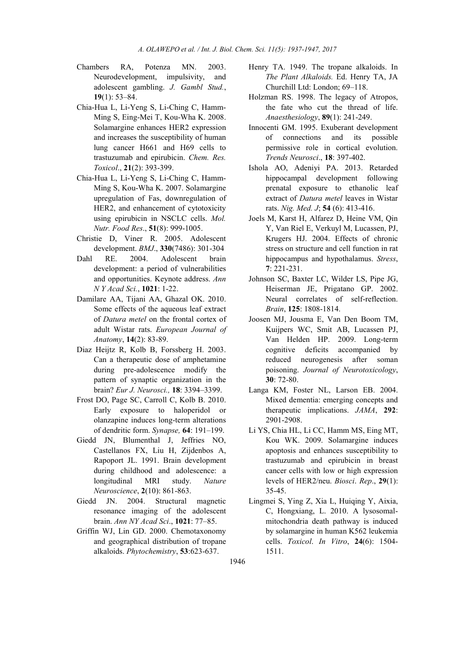- Chambers RA, Potenza MN. 2003. Neurodevelopment, impulsivity, and adolescent gambling. *J. Gambl Stud.*, 19(1): 53–84.
- Chia-Hua L, Li-Yeng S, Li-Ching C, Hamm-Ming S, Eing-Mei T, Kou-Wha K. 2008. Solamargine enhances HER2 expression and increases the susceptibility of human lung cancer H661 and H69 cells to trastuzumab and epirubicin. *Chem. Res. Toxicol*., 21(2): 393-399.
- Chia-Hua L, Li-Yeng S, Li-Ching C, Hamm-Ming S, Kou-Wha K. 2007. Solamargine upregulation of Fas, downregulation of HER2, and enhancement of cytotoxicity using epirubicin in NSCLC cells. *Mol. Nutr. Food Res*., 51(8): 999-1005.
- Christie D, Viner R. 2005. Adolescent development. *BMJ*., 330(7486): 301-304
- Dahl RE. 2004. Adolescent brain development: a period of vulnerabilities and opportunities. Keynote address. *Ann N Y Acad Sci.*, 1021: 1-22.
- Damilare AA, Tijani AA, Ghazal OK. 2010. Some effects of the aqueous leaf extract of *Datura metel* on the frontal cortex of adult Wistar rats. *European Journal of Anatomy*, 14(2): 83-89.
- Diaz Heijtz R, Kolb B, Forssberg H. 2003. Can a therapeutic dose of amphetamine during pre-adolescence modify the pattern of synaptic organization in the brain? *Eur J. Neurosci.,* 18: 3394–3399.
- Frost DO, Page SC, Carroll C, Kolb B. 2010. Early exposure to haloperidol or olanzapine induces long-term alterations of dendritic form. *Synapse,* 64: 191–199.
- Giedd JN, Blumenthal J, Jeffries NO, Castellanos FX, Liu H, Zijdenbos A, Rapoport JL. 1991. Brain development during childhood and adolescence: a longitudinal MRI study. *Nature Neuroscience*, 2(10): 861-863.
- Giedd JN. 2004. Structural magnetic resonance imaging of the adolescent brain. *Ann NY Acad Sci*., 1021: 77–85.
- Griffin WJ, Lin GD. 2000. Chemotaxonomy and geographical distribution of tropane alkaloids. *Phytochemistry*, 53:623-637.
- Henry TA. 1949. The tropane alkaloids. In *The Plant Alkaloids.* Ed. Henry TA, JA Churchill Ltd: London; 69–118.
- Holzman RS. 1998. The legacy of Atropos, the fate who cut the thread of life. *Anaesthesiology*, 89(1): 241-249.
- Innocenti GM. 1995. Exuberant development of connections and its possible permissive role in cortical evolution. *Trends Neurosci*., 18: 397-402.
- Ishola AO, Adeniyi PA. 2013. Retarded hippocampal development following prenatal exposure to ethanolic leaf extract of *Datura metel* leaves in Wistar rats. *Nig. Med. J*; 54 (6): 413-416.
- Joels M, Karst H, Alfarez D, Heine VM, Qin Y, Van Riel E, Verkuyl M, Lucassen, PJ, Krugers HJ. 2004. Effects of chronic stress on structure and cell function in rat hippocampus and hypothalamus. *Stress*, 7: 221-231.
- Johnson SC, Baxter LC, Wilder LS, Pipe JG, Heiserman JE, Prigatano GP. 2002. Neural correlates of self-reflection. *Brain*, 125: 1808-1814.
- Joosen MJ, Jousma E, Van Den Boom TM, Kuijpers WC, Smit AB, Lucassen PJ, Van Helden HP. 2009. Long-term cognitive deficits accompanied by reduced neurogenesis after soman poisoning. *Journal of Neurotoxicology*, 30: 72-80.
- Langa KM, Foster NL, Larson EB. 2004. Mixed dementia: emerging concepts and therapeutic implications. *JAMA*, 292: 2901-2908.
- Li YS, Chia HL, Li CC, Hamm MS, Eing MT, Kou WK. 2009. Solamargine induces apoptosis and enhances susceptibility to trastuzumab and epirubicin in breast cancer cells with low or high expression levels of HER2/neu. *Biosci*. *Rep*., 29(1): 35-45.
- Lingmei S, Ying Z, Xia L, Huiqing Y, Aixia, C, Hongxiang, L. 2010. A lysosomalmitochondria death pathway is induced by solamargine in human K562 leukemia cells. *Toxicol*. *In Vitro*, 24(6): 1504- 1511.

1946